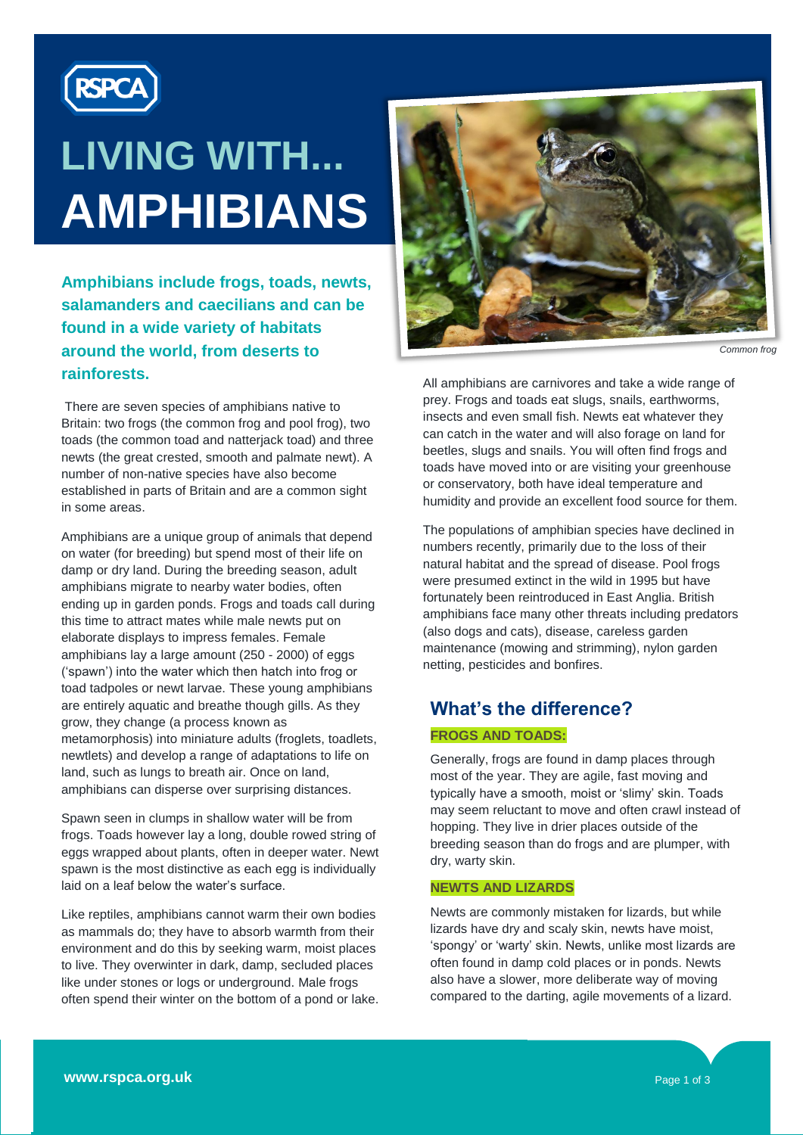

# **LIVING WITH... AMPHIBIANS**

**Amphibians include frogs, toads, newts, salamanders and caecilians and can be found in a wide variety of habitats around the world, from deserts to rainforests.**

There are seven species of amphibians native to Britain: two frogs (the common frog and pool frog), two toads (the common toad and natterjack toad) and three newts (the great crested, smooth and palmate newt). A number of non-native species have also become established in parts of Britain and are a common sight in some areas.

Amphibians are a unique group of animals that depend on water (for breeding) but spend most of their life on damp or dry land. During the breeding season, adult amphibians migrate to nearby water bodies, often ending up in garden ponds. Frogs and toads call during this time to attract mates while male newts put on elaborate displays to impress females. Female amphibians lay a large amount (250 - 2000) of eggs ('spawn') into the water which then hatch into frog or toad tadpoles or newt larvae. These young amphibians are entirely aquatic and breathe though gills. As they grow, they change (a process known as metamorphosis) into miniature adults (froglets, toadlets, newtlets) and develop a range of adaptations to life on land, such as lungs to breath air. Once on land, amphibians can disperse over surprising distances.

Spawn seen in clumps in shallow water will be from frogs. Toads however lay a long, double rowed string of eggs wrapped about plants, often in deeper water. Newt spawn is the most distinctive as each egg is individually laid on a leaf below the water's surface.

Like reptiles, amphibians cannot warm their own bodies as mammals do; they have to absorb warmth from their environment and do this by seeking warm, moist places to live. They overwinter in dark, damp, secluded places like under stones or logs or underground. Male frogs often spend their winter on the bottom of a pond or lake.



*Common frog* 

All amphibians are carnivores and take a wide range of prey. Frogs and toads eat slugs, snails, earthworms, insects and even small fish. Newts eat whatever they can catch in the water and will also forage on land for beetles, slugs and snails. You will often find frogs and toads have moved into or are visiting your greenhouse or conservatory, both have ideal temperature and humidity and provide an excellent food source for them.

The populations of amphibian species have declined in numbers recently, primarily due to the loss of their natural habitat and the spread of disease. Pool frogs were presumed extinct in the wild in 1995 but have fortunately been reintroduced in East Anglia. British amphibians face many other threats including predators (also dogs and cats), disease, careless garden maintenance (mowing and strimming), nylon garden netting, pesticides and bonfires.

# **What's the difference? FROGS AND TOADS:**

Generally, frogs are found in damp places through most of the year. They are agile, fast moving and typically have a smooth, moist or 'slimy' skin. Toads may seem reluctant to move and often crawl instead of hopping. They live in drier places outside of the breeding season than do frogs and are plumper, with dry, warty skin.

#### **NEWTS AND LIZARDS**

Newts are commonly mistaken for lizards, but while lizards have dry and scaly skin, newts have moist, 'spongy' or 'warty' skin. Newts, unlike most lizards are often found in damp cold places or in ponds. Newts also have a slower, more deliberate way of moving compared to the darting, agile movements of a lizard.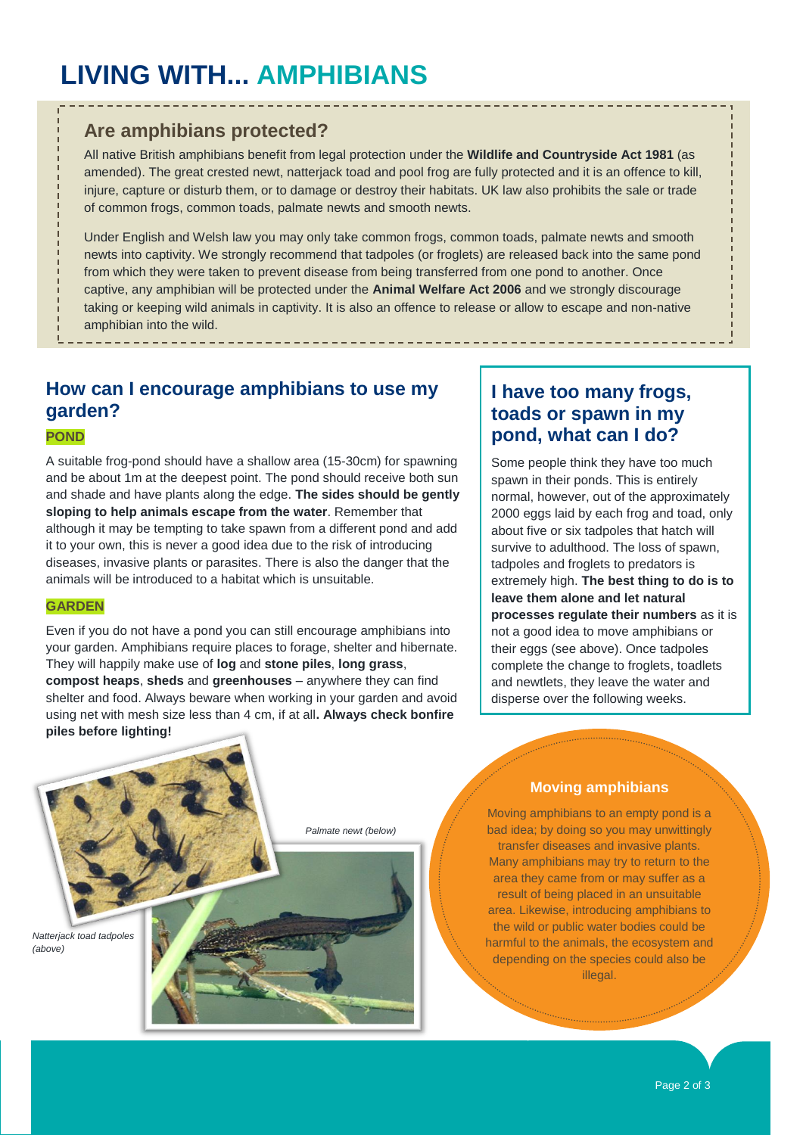# **LIVING WITH... AMPHIBIANS**

### **Are amphibians protected?**

All native British amphibians benefit from legal protection under the **Wildlife and Countryside Act 1981** (as amended). The great crested newt, natterjack toad and pool frog are fully protected and it is an offence to kill, injure, capture or disturb them, or to damage or destroy their habitats. UK law also prohibits the sale or trade of common frogs, common toads, palmate newts and smooth newts.

Under English and Welsh law you may only take common frogs, common toads, palmate newts and smooth newts into captivity. We strongly recommend that tadpoles (or froglets) are released back into the same pond from which they were taken to prevent disease from being transferred from one pond to another. Once captive, any amphibian will be protected under the **Animal Welfare Act 2006** and we strongly discourage taking or keeping wild animals in captivity. It is also an offence to release or allow to escape and non-native amphibian into the wild.

# **How can I encourage amphibians to use my garden?**

#### **POND**

A suitable frog-pond should have a shallow area (15-30cm) for spawning and be about 1m at the deepest point. The pond should receive both sun and shade and have plants along the edge. **The sides should be gently sloping to help animals escape from the water**. Remember that although it may be tempting to take spawn from a different pond and add it to your own, this is never a good idea due to the risk of introducing diseases, invasive plants or parasites. There is also the danger that the animals will be introduced to a habitat which is unsuitable.

#### **GARDEN**

Even if you do not have a pond you can still encourage amphibians into your garden. Amphibians require places to forage, shelter and hibernate. They will happily make use of **log** and **stone piles**, **long grass**, **compost heaps**, **sheds** and **greenhouses** – anywhere they can find shelter and food. Always beware when working in your garden and avoid using net with mesh size less than 4 cm, if at all**. Always check bonfire piles before lighting!**

### **I have too many frogs, toads or spawn in my pond, what can I do?**

Some people think they have too much spawn in their ponds. This is entirely normal, however, out of the approximately 2000 eggs laid by each frog and toad, only about five or six tadpoles that hatch will survive to adulthood. The loss of spawn, tadpoles and froglets to predators is extremely high. **The best thing to do is to leave them alone and let natural processes regulate their numbers** as it is not a good idea to move amphibians or their eggs (see above). Once tadpoles complete the change to froglets, toadlets and newtlets, they leave the water and disperse over the following weeks.



#### **Moving amphibians**

Moving amphibians to an empty pond is a bad idea; by doing so you may unwittingly transfer diseases and invasive plants. Many amphibians may try to return to the area they came from or may suffer as a result of being placed in an unsuitable area. Likewise, introducing amphibians to the wild or public water bodies could be harmful to the animals, the ecosystem and depending on the species could also be illegal.